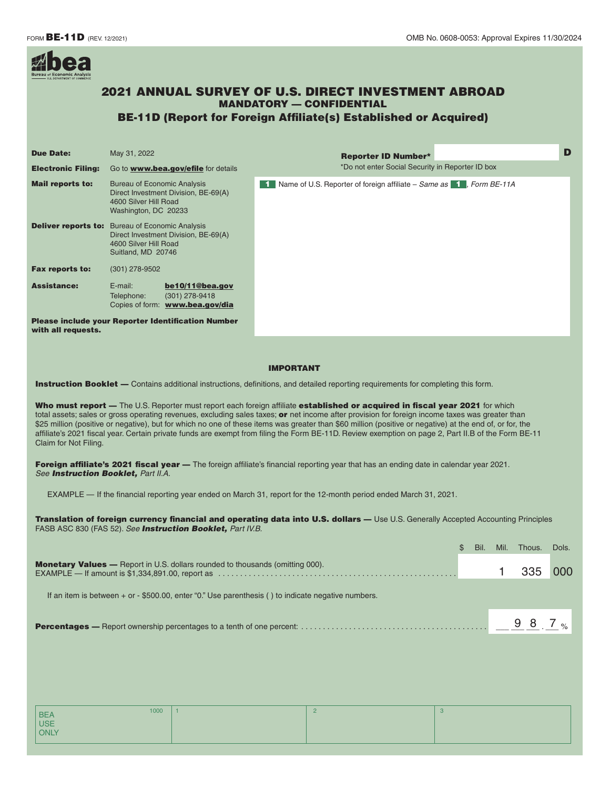

# 2021 ANNUAL SURVEY OF U.S. DIRECT INVESTMENT ABROAD MANDATORY — CONFIDENTIAL

# BE-11D (Report for Foreign Affiliate(s) Established or Acquired)

| <b>Due Date:</b>          | May 31, 2022                                                                                                                                  |                                                                                                                                     | <b>Reporter ID Number*</b>                                                                 | D |  |
|---------------------------|-----------------------------------------------------------------------------------------------------------------------------------------------|-------------------------------------------------------------------------------------------------------------------------------------|--------------------------------------------------------------------------------------------|---|--|
| <b>Electronic Filing:</b> | Go to www.bea.gov/efile for details                                                                                                           |                                                                                                                                     | *Do not enter Social Security in Reporter ID box                                           |   |  |
| <b>Mail reports to:</b>   | <b>Bureau of Economic Analysis</b><br>Direct Investment Division, BE-69(A)<br>4600 Silver Hill Road<br>Washington, DC 20233                   |                                                                                                                                     | <b>1</b> Name of U.S. Reporter of foreign affiliate – Same as $\blacksquare$ , Form BE-11A |   |  |
|                           | <b>Deliver reports to:</b> Bureau of Economic Analysis<br>Direct Investment Division, BE-69(A)<br>4600 Silver Hill Road<br>Suitland, MD 20746 |                                                                                                                                     |                                                                                            |   |  |
| <b>Fax reports to:</b>    | $(301)$ 278-9502                                                                                                                              |                                                                                                                                     |                                                                                            |   |  |
| <b>Assistance:</b>        | $E$ -mail:<br>Telephone:                                                                                                                      | be10/11@bea.gov<br>$(301)$ 278-9418<br>Copies of form: www.bea.gov/dia<br><b>Please include your Reporter Identification Number</b> |                                                                                            |   |  |
| with all requests.        |                                                                                                                                               |                                                                                                                                     |                                                                                            |   |  |

#### IMPORTANT

**Instruction Booklet** — Contains additional instructions, definitions, and detailed reporting requirements for completing this form.

Who must report - The U.S. Reporter must report each foreign affiliate established or acquired in fiscal year 2021 for which total assets; sales or gross operating revenues, excluding sales taxes; or net income after provision for foreign income taxes was greater than \$25 million (positive or negative), but for which no one of these items was greater than \$60 million (positive or negative) at the end of, or for, the affiliate's 2021 fiscal yea[r. Certain private fun](mailto:be10/11@bea.gov)ds are exempt from filing the Form BE-11D. Review exemption on page 2, Part II.B of the Form BE-11 Claim for Not Filing.

Foreign affiliate's 2021 fiscal year - The foreign affiliate's financial reporting year that has an ending date in calendar year 2021. *See Instruction Booklet, Part II.A.* 

EXAMPLE — If the financial reporting year ended on March 31, report for the 12-month period ended March 31, 2021.

Translation of foreign currency financial and operating data into U.S. dollars — Use U.S. Generally Accepted Accounting Principles FASB ASC 830 (FAS 52). *See Instruction Booklet, Part IV.B.* 

| 335 |  |
|-----|--|
|     |  |
|     |  |
|     |  |

| 1000               | $\bigcap$<br>- | 3 |
|--------------------|----------------|---|
| BEA<br>USE<br>ONLY |                |   |
|                    |                |   |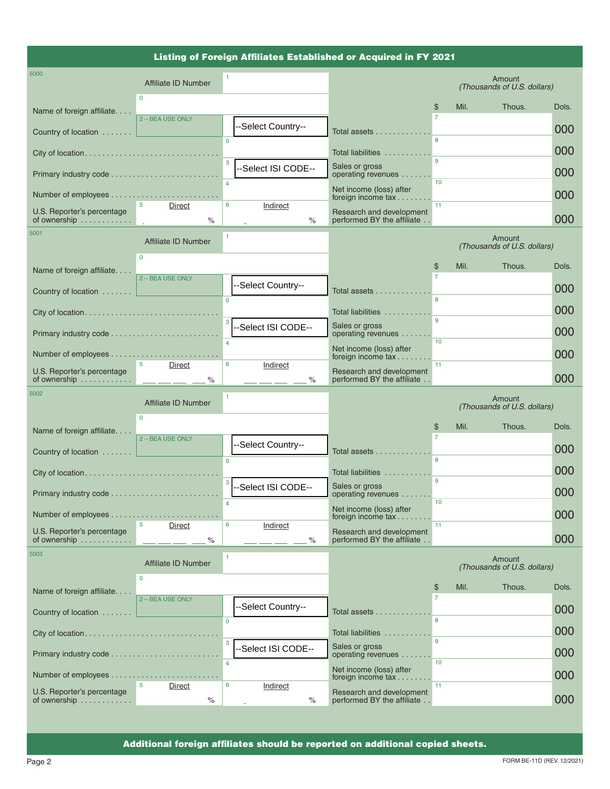# Listing of Foreign Affiliates Established or Acquired in FY 2021

| 5000                                       | Affiliate ID Number              |                |                     |                                                                           |              |      | Amount<br>(Thousands of U.S. dollars) |       |
|--------------------------------------------|----------------------------------|----------------|---------------------|---------------------------------------------------------------------------|--------------|------|---------------------------------------|-------|
| Name of foreign affiliate                  | $\Omega$                         |                |                     |                                                                           | \$           | Mil. | Thous.                                | Dols. |
| Country of location $\ldots \ldots$        | 2 - BEA USE ONLY                 |                | --Select Country--  | Total assets                                                              |              |      |                                       | 000   |
|                                            |                                  | $\Omega$       |                     | Total liabilities                                                         | 8            |      |                                       | 000   |
| Primary industry code                      |                                  | $\overline{3}$ | --Select ISI CODE-- | Sales or gross<br>operating revenues                                      | $\mathbf{Q}$ |      |                                       | 000   |
|                                            |                                  |                |                     | Net income (loss) after<br>foreign income tax                             | 10           |      |                                       | 000   |
| U.S. Reporter's percentage                 | Direct                           | 6              | Indirect            | Research and development                                                  | 11           |      |                                       |       |
| of ownership<br>5001                       | $\%$                             | 1              | $\%$                | performed BY the affiliate                                                |              |      | Amount                                | 000   |
|                                            | Affiliate ID Number<br>$\Omega$  |                |                     |                                                                           |              |      | (Thousands of U.S. dollars)           |       |
| Name of foreign affiliate                  | 2 - BEA USE ONLY                 |                |                     |                                                                           | \$           | Mil. | Thous.                                | Dols. |
| Country of location                        |                                  |                | --Select Country--  | Total assets                                                              |              |      |                                       | 000   |
| City of location                           |                                  | $\Omega$       |                     | Total liabilities                                                         |              |      |                                       | 000   |
| Primary industry code                      |                                  | 3              | --Select ISI CODE-- | Sales or gross<br>operating revenues                                      | 9            |      |                                       | 000   |
|                                            |                                  | $\overline{a}$ |                     | Net income (loss) after<br>foreign income $tax \ldots \ldots$             | 10           |      |                                       | 000   |
| U.S. Reporter's percentage<br>of ownership | 5 <sup>1</sup><br>Direct<br>$\%$ | 6              | Indirect<br>$\%$    | Research and development<br>performed BY the affiliate                    | 11           |      |                                       | 000   |
|                                            |                                  |                |                     |                                                                           |              |      |                                       |       |
| 5002                                       |                                  | 1              |                     |                                                                           |              |      | Amount                                |       |
|                                            | Affiliate ID Number<br>$\Omega$  |                |                     |                                                                           |              |      | (Thousands of U.S. dollars)           |       |
| Name of foreign affiliate                  | 2 - BEA USE ONLY                 |                |                     |                                                                           | \$           | Mil. | Thous.                                | Dols. |
| Country of location                        |                                  | $\Omega$       | --Select Country--  | Total assets                                                              | 8            |      |                                       | 000   |
| City of location                           |                                  |                |                     | Total liabilities                                                         |              |      |                                       | 000   |
|                                            |                                  | 3              | -Select ISI CODE--  | Sales or gross<br>operating revenues                                      | 9            |      |                                       | 000   |
| Number of employees                        | .                                |                |                     | Net income (loss) after<br>foreign income $\text{tax.}\ldots\ldots$       | 10           |      |                                       | 000   |
| U.S. Reporter's percentage<br>of ownership | 5<br>Direct<br>$\%$              | 6              | Indirect<br>$\%$    | Research and development<br>performed BY the affiliate                    | 11           |      |                                       | 000   |
| 5003                                       | <b>Affiliate ID Number</b>       | $\mathbf{1}$   |                     |                                                                           |              |      | Amount<br>(Thousands of U.S. dollars) |       |
|                                            | $\mathbf 0$                      |                |                     |                                                                           | \$           | Mil. | Thous.                                | Dols. |
| Name of foreign affiliate                  | 2 - BEA USE ONLY                 |                | -Select Country--   |                                                                           |              |      |                                       |       |
| Country of location                        |                                  | $\Omega$       |                     | Total assets                                                              | 8            |      |                                       | 000   |
|                                            |                                  | 3              |                     | Total liabilities<br>Sales or gross                                       | 9            |      |                                       | 000   |
|                                            |                                  | $\overline{4}$ | -Select ISI CODE--  | operating revenues                                                        | 10           |      |                                       | 000   |
| U.S. Reporter's percentage                 | 5<br><b>Direct</b>               | 6              | Indirect            | Net income (loss) after<br>foreign income tax<br>Research and development | 11           |      |                                       | 000   |

Additional foreign affiliates should be reported on additional copied sheets.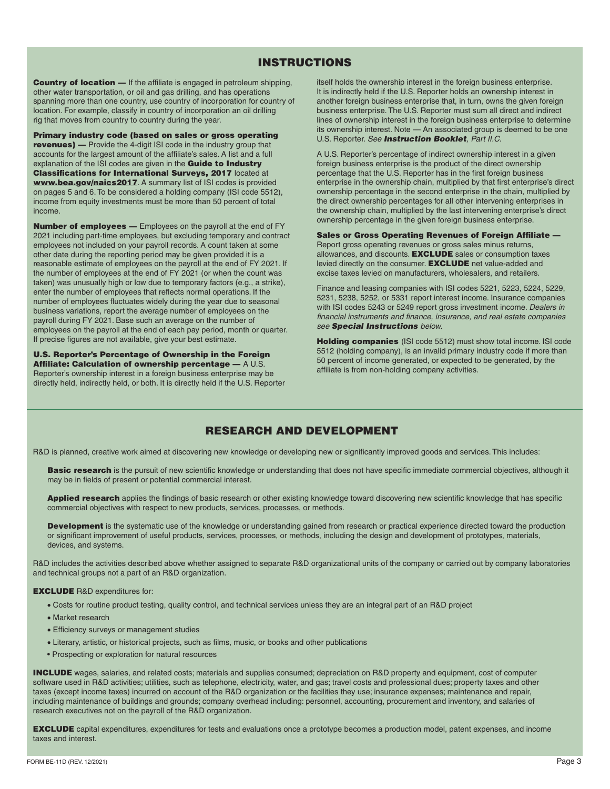# INSTRUCTIONS

Country of location — If the affiliate is engaged in petroleum shipping, other water transportation, or oil and gas drilling, and has operations spanning more than one country, use country of incorporation for country of location. For example, classify in country of incorporation an oil drilling rig that moves from country to country during the year.

Primary industry code (based on sales or gross operating revenues) — Provide the 4-digit ISI code in the industry group that accounts for the largest amount of the affiliate's sales. A list and a full explanation of the ISI codes are given in the **Guide to Industry** Classifications for International Surveys, 2017 located at [www.bea.gov/naics2017](http://www.bea.gov/naics2017). A summary list of ISI codes is provided on pages 5 and 6. To be considered a holding company (ISI code 5512), income from equity investments must be more than 50 percent of total income.

Number of employees — Employees on the payroll at the end of FY 2021 including part-time employees, but excluding temporary and contract employees not included on your payroll records. A count taken at some other date during the reporting period may be given provided it is a reasonable estimate of employees on the payroll at the end of FY 2021. If the number of employees at the end of FY 2021 (or when the count was taken) was unusually high or low due to temporary factors (e.g., a strike), enter the number of employees that reflects normal operations. If the number of employees fluctuates widely during the year due to seasonal business variations, report the average number of employees on the payroll during FY 2021. Base such an average on the number of employees on the payroll at the end of each pay period, month or quarter. If precise figures are not available, give your best estimate.

U.S. Reporter's Percentage of Ownership in the Foreign Affiliate: Calculation of ownership percentage — A U.S. Reporter's ownership interest in a foreign business enterprise may be directly held, indirectly held, or both. It is directly held if the U.S. Reporter itself holds the ownership interest in the foreign business enterprise. It is indirectly held if the U.S. Reporter holds an ownership interest in another foreign business enterprise that, in turn, owns the given foreign business enterprise. The U.S. Reporter must sum all direct and indirect lines of ownership interest in the foreign business enterprise to determine its ownership interest. Note — An associated group is deemed to be one U.S. Reporter. *See Instruction Booklet, Part II.C.* 

A U.S. Reporter's percentage of indirect ownership interest in a given foreign business enterprise is the product of the direct ownership percentage that the U.S. Reporter has in the first foreign business enterprise in the ownership chain, multiplied by that first enterprise's direct ownership percentage in the second enterprise in the chain, multiplied by the direct ownership percentages for all other intervening enterprises in the ownership chain, multiplied by the last intervening enterprise's direct ownership percentage in the given foreign business enterprise.

Sales or Gross Operating Revenues of Foreign Affiliate — Report gross operating revenues or gross sales minus returns, allowances, and discounts. **EXCLUDE** sales or consumption taxes levied directly on the consumer. **EXCLUDE** net value-added and excise taxes levied on manufacturers, wholesalers, and retailers.

Finance and leasing companies with ISI codes 5221, 5223, 5224, 5229, 5231, 5238, 5252, or 5331 report interest income. Insurance companies with ISI codes 5243 or 5249 report gross investment income. *Dealers in financial instruments and finance, insurance, and real estate companies see Special Instructions below.* 

Holding companies (ISI code 5512) must show total income. ISI code 5512 (holding company), is an invalid primary industry code if more than 50 percent of income generated, or expected to be generated, by the affiliate is from non-holding company activities.

# RESEARCH AND DEVELOPMENT

R&D is planned, creative work aimed at discovering new knowledge or developing new or significantly improved goods and services. This includes:

Basic research is the pursuit of new scientific knowledge or understanding that does not have specific immediate commercial objectives, although it may be in fields of present or potential commercial interest.

Applied research applies the findings of basic research or other existing knowledge toward discovering new scientific knowledge that has specific commercial objectives with respect to new products, services, processes, or methods.

Development is the systematic use of the knowledge or understanding gained from research or practical experience directed toward the production or significant improvement of useful products, services, processes, or methods, including the design and development of prototypes, materials, devices, and systems.

R&D includes the activities described above whether assigned to separate R&D organizational units of the company or carried out by company laboratories and technical groups not a part of an R&D organization.

#### EXCLUDE R&D expenditures for:

- Costs for routine product testing, quality control, and technical services unless they are an integral part of an R&D project
- Market research
- Efficiency surveys or management studies
- Literary, artistic, or historical projects, such as films, music, or books and other publications
- Prospecting or exploration for natural resources

INCLUDE wages, salaries, and related costs; materials and supplies consumed; depreciation on R&D property and equipment, cost of computer software used in R&D activities; utilities, such as telephone, electricity, water, and gas; travel costs and professional dues; property taxes and other taxes (except income taxes) incurred on account of the R&D organization or the facilities they use; insurance expenses; maintenance and repair, including maintenance of buildings and grounds; company overhead including: personnel, accounting, procurement and inventory, and salaries of research executives not on the payroll of the R&D organization.

EXCLUDE capital expenditures, expenditures for tests and evaluations once a prototype becomes a production model, patent expenses, and income taxes and interest.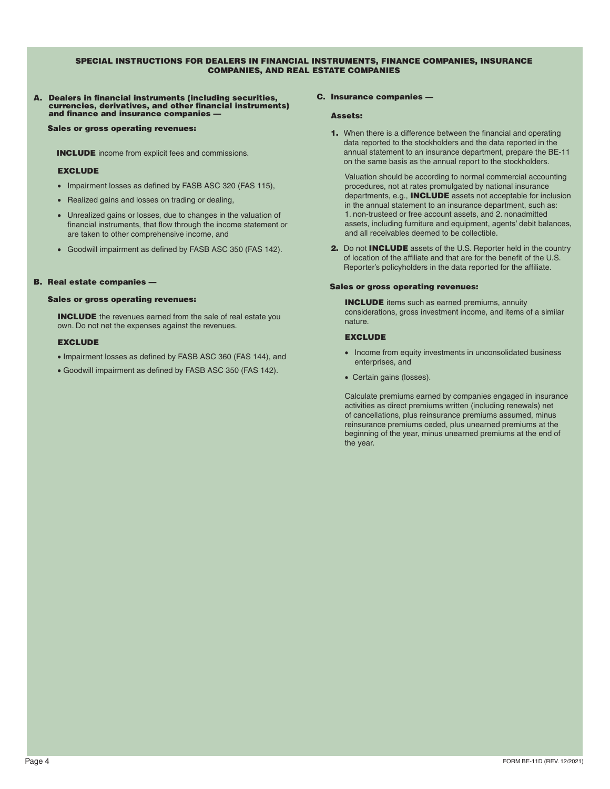#### SPECIAL INSTRUCTIONS FOR DEALERS IN FINANCIAL INSTRUMENTS, FINANCE COMPANIES, INSURANCE COMPANIES, AND REAL ESTATE COMPANIES

# A. Dealers in financial instruments (including securities, currencies, derivatives, and other financial instruments) and finance and insurance companies —

Sales or gross operating revenues:

INCLUDE income from explicit fees and commissions.

#### **EXCLUDE**

- Impairment losses as defined by FASB ASC 320 (FAS 115),
- Realized gains and losses on trading or dealing,
- Unrealized gains or losses, due to changes in the valuation of financial instruments, that flow through the income statement or are taken to other comprehensive income, and
- Goodwill impairment as defined by FASB ASC 350 (FAS 142).

#### B. Real estate companies —

#### Sales or gross operating revenues:

INCLUDE the revenues earned from the sale of real estate you own. Do not net the expenses against the revenues.

#### **EXCLUDE**

- Impairment losses as defined by FASB ASC 360 (FAS 144), and
- Goodwill impairment as defined by FASB ASC 350 (FAS 142).

#### C. Insurance companies —

#### Assets:

1. When there is a difference between the financial and operating data reported to the stockholders and the data reported in the annual statement to an insurance department, prepare the BE-11 on the same basis as the annual report to the stockholders.

Valuation should be according to normal commercial accounting procedures, not at rates promulgated by national insurance departments, e.g., INCLUDE assets not acceptable for inclusion in the annual statement to an insurance department, such as: 1. non-trusteed or free account assets, and 2. nonadmitted assets, including furniture and equipment, agents' debit balances, and all receivables deemed to be collectible.

2. Do not **INCLUDE** assets of the U.S. Reporter held in the country of location of the affiliate and that are for the benefit of the U.S. Reporter's policyholders in the data reported for the affiliate.

#### Sales or gross operating revenues:

**INCLUDE** items such as earned premiums, annuity considerations, gross investment income, and items of a similar nature.

#### **EXCLUDE**

- Income from equity investments in unconsolidated business enterprises, and
- Certain gains (losses).

Calculate premiums earned by companies engaged in insurance activities as direct premiums written (including renewals) net of cancellations, plus reinsurance premiums assumed, minus reinsurance premiums ceded, plus unearned premiums at the beginning of the year, minus unearned premiums at the end of the year.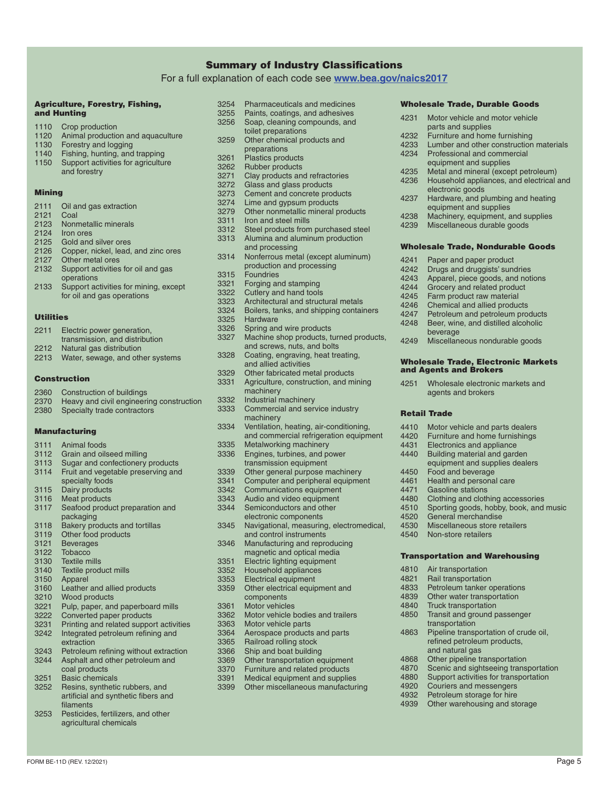#### Summary of Industry Classifications

For a full explanation of each code see **[www.bea.gov/naics2017](http://www.bea.gov/naics2017)**

#### Agriculture, Forestry, Fishing, and Hunting

- 1110 Crop production<br>1120 Animal production 1120 Animal production and aquaculture<br>1130 Forestry and logging
- 1130 Forestry and logging<br>1140 Fishing hunting and
- 1140 Fishing, hunting, and trapping<br>1150 Support activities for agriculture
- Support activities for agriculture and forestry

#### Mining

2111 Oil and gas extraction 2121 Coal<br>2123 Nonn Nonmetallic minerals 2124 Iron ores 2125 Gold and silver ores 2126 Copper, nickel, lead, and zinc ores 2127 Other metal ores 2132 Support activities for oil and gas operations 2133 Support activities for mining, except for oil and gas operations

# Utilities

- 2211 Electric power generation,
- transmission, and distribution
- 2212 Natural gas distribution
- 2213 Water, sewage, and other systems

### Construction

- 2360 Construction of buildings
- 2370 Heavy and civil engineering construction 2380 Specialty trade contractors

#### Manufacturing

- 3111 Animal foods 3112 Grain and oilseed milling 3113 Sugar and confectionery products<br>3114 Fruit and vegetable preserving and Fruit and vegetable preserving and
- specialty foods
- 3115 Dairy products<br>3116 Meat products
- 3116 Meat products<br>3117 Seafood produ
- Seafood product preparation and packaging
- 3118 Bakery products and tortillas<br>3119 Other food products Other food products
- 
- 3121 Beverages<br>3122 Tobacco 3122 Tobacco<br>3130 Textile m
- 
- 3130 Textile mills<br>3140 Textile prod 3140 Textile product mills<br>3150 Apparel
- Apparel
- 3160 Leather and allied products<br>3210 Wood products
- 3210 Wood products<br>3221 Pulp paper and
- 3221 Pulp, paper, and paperboard mills<br>3222 Converted paper products
- 3222 Converted paper products<br>3231 Printing and related suppo
- Printing and related support activities 3242 Integrated petroleum refining and
- extraction
- 3243 Petroleum refining without extraction<br>3244 Asphalt and other petroleum and
- Asphalt and other petroleum and coal products
- 3251 Basic chemicals<br>3252 Resins, syntheti
- Resins, synthetic rubbers, and artificial and synthetic fibers and filaments
- 3253 Pesticides, fertilizers, and other agricultural chemicals
- 3254 Pharmaceuticals and medicines<br>3255 Paints, coatings, and adhesives
- 3255 Paints, coatings, and adhesives<br>3256 Soap, cleaning compounds, and Soap, cleaning compounds, and
	- toilet preparations
- 3259 Other chemical products and preparations
- 3261 Plastics products<br>3262 Rubber products
- 3262 Rubber products<br>3271 Clay products and
- 3271 Clay products and refractories<br>3272 Glass and glass products
- 3272 Glass and glass products<br>3273 Cement and concrete prod
- 3273 Cement and concrete products<br>3274 Lime and gynsum products
- 3274 Lime and gypsum products<br>3279 Other nonmetallic mineral p
- 3279 Other nonmetallic mineral products<br>3311 Iron and steel mills
- 3311 Iron and steel mills<br>3312 Steel products from
- Steel products from purchased steel 3313 Alumina and aluminum production
	- and processing
- 3314 Nonferrous metal (except aluminum) production and processing
- 3315 Foundries<br>3321 Forging an
- 3321 Forging and stamping<br>3322 Cutlery and hand tools
- 3322 Cutlery and hand tools<br>3323 Architectural and struct
- 3323 Architectural and structural metals<br>3324 Boilers, tanks, and shipping contair
- 3324 Boilers, tanks, and shipping containers<br>3325 Hardware
- 3325 Hardware<br>3326 Spring and
- 3326 Spring and wire products<br>3327 Machine shop products, ti
	- Machine shop products, turned products, and screws, nuts, and bolts
- 3328 Coating, engraving, heat treating,
- and allied activities
- 3329 Other fabricated metal products<br>3331 Agriculture, construction, and mi Agriculture, construction, and mining
- machinery
- 3332 Industrial machinery<br>3333 Commercial and serve
	- Commercial and service industry machinery
- 3334 Ventilation, heating, air-conditioning, and commercial refrigeration equipment
- 3335 Metalworking machinery<br>3336 Engines. turbines. and po
- Engines, turbines, and power
- transmission equipment
- 3339 Other general purpose machinery<br>3341 Computer and peripheral equipme
- 3341 Computer and peripheral equipment<br>3342 Communications equipment
- 3342 Communications equipment<br>3343 Audio and video equipment
- 3343 Audio and video equipment<br>3344 Semiconductors and other Semiconductors and other
- electronic components
- 3345 Navigational, measuring, electromedical,
- and control instruments 3346 Manufacturing and reproducing
- magnetic and optical media
- 3351 Electric lighting equipment<br>3352 Household appliances
- 3352 Household appliances<br>3353 Electrical equipment Electrical equipment
- 3359 Other electrical equipment and components
- 3361 Motor vehicles<br>3362 Motor vehicle b
- 3362 Motor vehicle bodies and trailers<br>3363 Motor vehicle parts
- Motor vehicle parts
- 3364 Aerospace products and parts<br>3365 Railroad rolling stock
- 3365 Railroad rolling stock<br>3366 Shin and boat building
- 3366 Ship and boat building<br>3369 Other transportation ed
- 3369 Other transportation equipment<br>3370 Furniture and related products
- 3370 Furniture and related products<br>3391 Medical equipment and supplie
- 3391 Medical equipment and supplies<br>3399 Other miscellaneous manufacturi Other miscellaneous manufacturing

FORM BE-11D (REV. 12/2021) Page 5

# Wholesale Trade, Durable Goods

- 4231 Motor vehicle and motor vehicle parts and supplies
- 

electronic goods

4241 Paper and paper product<br>4242 Drugs and druggists' sung 4242 Drugs and druggists' sundries<br>4243 Apparel, piece goods, and not 4243 Apparel, piece goods, and notions<br>4244 Grocery and related product 4244 Grocery and related product<br>4245 Farm product raw material 4245 Farm product raw material<br>4246 Chemical and allied produc 4246 Chemical and allied products<br>4247 Petroleum and petroleum pro 4247 Petroleum and petroleum products<br>4248 Beer, wine, and distilled alcoholic Beer, wine, and distilled alcoholic

beverage

Retail Trade

and Agents and Brokers

4450 Food and beverage<br>4461 Health and persona 4461 Health and personal care<br>4471 Gasoline stations 4471 Gasoline stations<br>4480 Clothing and cloth

4520 General merchandise 4530 Miscellaneous store retailers<br>4540 Non-store retailers Non-store retailers

4810 Air transportation 4821 Rail transportation<br>4833 Petroleum tanker o

4232 Furniture and home furnishing<br>4233 Lumber and other construction 4233 Lumber and other construction materials<br>4234 Professional and commercial

Household appliances, and electrical and

- Professional and commercial equipment and supplies
- 4235 Metal and mineral (except petroleum)<br>4236 Household appliances, and electrical

4237 Hardware, and plumbing and heating equipment and supplies 4238 Machinery, equipment, and supplies<br>4239 Miscellaneous durable goods Miscellaneous durable goods

Wholesale Trade, Nondurable Goods

4249 Miscellaneous nondurable goods

4251 Wholesale electronic markets and agents and brokers

4410 Motor vehicle and parts dealers<br>4420 Furniture and home furnishings 4420 Furniture and home furnishings<br>4431 Electronics and appliance 4431 Electronics and appliance<br>4440 Building material and gard Building material and garden equipment and supplies dealers

4480 Clothing and clothing accessories<br>4510 Sporting goods, hobby, book, and 4510 Sporting goods, hobby, book, and music<br>4520 General merchandise

Transportation and Warehousing

4850 Transit and ground passenger transportation

and natural gas 4868 Other pipeline transportation<br>4870 Scenic and sightseeing trans 4870 Scenic and sightseeing transportation<br>4880 Support activities for transportation Support activities for transportation

4920 Couriers and messengers<br>4932 Petroleum storage for hire Petroleum storage for hire 4939 Other warehousing and storage

Petroleum tanker operations 4839 Other water transportation 4840 Truck transportation

4863 Pipeline transportation of crude oil, refined petroleum products,

Wholesale Trade, Electronic Markets